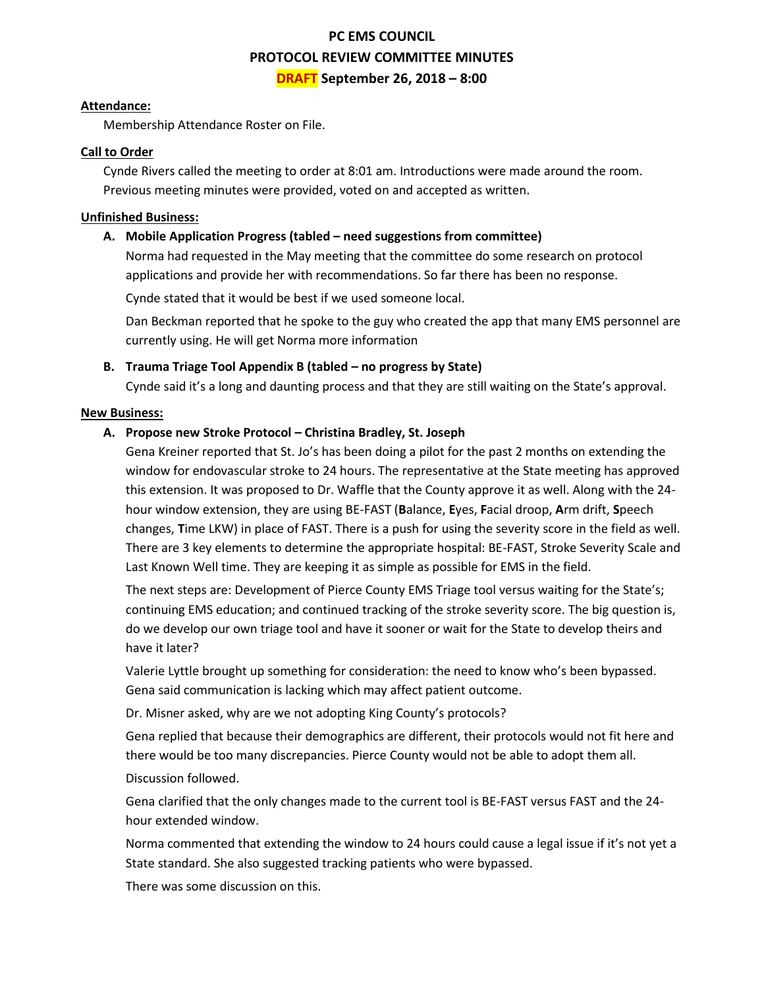# **PC EMS COUNCIL PROTOCOL REVIEW COMMITTEE MINUTES DRAFT September 26, 2018 – 8:00**

#### **Attendance:**

Membership Attendance Roster on File.

# **Call to Order**

Cynde Rivers called the meeting to order at 8:01 am. Introductions were made around the room. Previous meeting minutes were provided, voted on and accepted as written.

## **Unfinished Business:**

## **A. Mobile Application Progress (tabled – need suggestions from committee)**

Norma had requested in the May meeting that the committee do some research on protocol applications and provide her with recommendations. So far there has been no response.

Cynde stated that it would be best if we used someone local.

Dan Beckman reported that he spoke to the guy who created the app that many EMS personnel are currently using. He will get Norma more information

# **B. Trauma Triage Tool Appendix B (tabled – no progress by State)**

Cynde said it's a long and daunting process and that they are still waiting on the State's approval.

#### **New Business:**

# **A. Propose new Stroke Protocol – Christina Bradley, St. Joseph**

Gena Kreiner reported that St. Jo's has been doing a pilot for the past 2 months on extending the window for endovascular stroke to 24 hours. The representative at the State meeting has approved this extension. It was proposed to Dr. Waffle that the County approve it as well. Along with the 24 hour window extension, they are using BE-FAST (**B**alance, **E**yes, **F**acial droop, **A**rm drift, **S**peech changes, **T**ime LKW) in place of FAST. There is a push for using the severity score in the field as well. There are 3 key elements to determine the appropriate hospital: BE-FAST, Stroke Severity Scale and Last Known Well time. They are keeping it as simple as possible for EMS in the field.

The next steps are: Development of Pierce County EMS Triage tool versus waiting for the State's; continuing EMS education; and continued tracking of the stroke severity score. The big question is, do we develop our own triage tool and have it sooner or wait for the State to develop theirs and have it later?

Valerie Lyttle brought up something for consideration: the need to know who's been bypassed. Gena said communication is lacking which may affect patient outcome.

Dr. Misner asked, why are we not adopting King County's protocols?

Gena replied that because their demographics are different, their protocols would not fit here and there would be too many discrepancies. Pierce County would not be able to adopt them all.

#### Discussion followed.

Gena clarified that the only changes made to the current tool is BE-FAST versus FAST and the 24 hour extended window.

Norma commented that extending the window to 24 hours could cause a legal issue if it's not yet a State standard. She also suggested tracking patients who were bypassed.

There was some discussion on this.